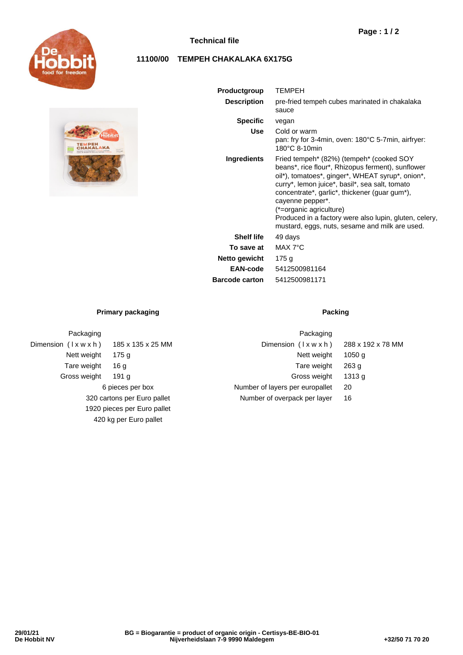

## **Technical file**

# **Page : 1 / 2**

## **11100/00 TEMPEH CHAKALAKA 6X175G**



Packaging

Dimension  $(l \times w \times h)$  185 x 135 x 25 MM Nett weight 175 g Tare weight 16 g Gross weight 191 g

| Productgroup          | <b>TEMPEH</b>                                                                                                                                                                                                                                                                                                                                                                                                                            |  |  |  |  |
|-----------------------|------------------------------------------------------------------------------------------------------------------------------------------------------------------------------------------------------------------------------------------------------------------------------------------------------------------------------------------------------------------------------------------------------------------------------------------|--|--|--|--|
| <b>Description</b>    | pre-fried tempeh cubes marinated in chakalaka<br>sauce                                                                                                                                                                                                                                                                                                                                                                                   |  |  |  |  |
| <b>Specific</b>       | vegan                                                                                                                                                                                                                                                                                                                                                                                                                                    |  |  |  |  |
| Use                   | Cold or warm<br>pan: fry for 3-4min, oven: 180°C 5-7min, airfryer:<br>180°C 8-10min                                                                                                                                                                                                                                                                                                                                                      |  |  |  |  |
| Ingredients           | Fried tempeh <sup>*</sup> (82%) (tempeh <sup>*</sup> (cooked SOY)<br>beans*, rice flour*, Rhizopus ferment), sunflower<br>oil*), tomatoes*, ginger*, WHEAT syrup*, onion*,<br>curry*, lemon juice*, basil*, sea salt, tomato<br>concentrate*, garlic*, thickener (guar gum*),<br>cayenne pepper*.<br>(*=organic agriculture)<br>Produced in a factory were also lupin, gluten, celery,<br>mustard, eggs, nuts, sesame and milk are used. |  |  |  |  |
| <b>Shelf life</b>     | 49 days                                                                                                                                                                                                                                                                                                                                                                                                                                  |  |  |  |  |
| To save at            | MAX 7°C                                                                                                                                                                                                                                                                                                                                                                                                                                  |  |  |  |  |
| Netto gewicht         | 175g                                                                                                                                                                                                                                                                                                                                                                                                                                     |  |  |  |  |
| EAN-code              | 5412500981164                                                                                                                                                                                                                                                                                                                                                                                                                            |  |  |  |  |
| <b>Barcode carton</b> | 5412500981171                                                                                                                                                                                                                                                                                                                                                                                                                            |  |  |  |  |

### **Primary packaging Packing Packing**

6 pieces per box 320 cartons per Euro pallet 1920 pieces per Euro pallet 420 kg per Euro pallet

| Packaging                       |                   |
|---------------------------------|-------------------|
| Dimension (Ixwxh)               | 288 x 192 x 78 MM |
| Nett weight                     | 1050 a            |
| Tare weight                     | 263q              |
| Gross weight                    | 1313 a            |
| Number of layers per europallet | 20                |
| Number of overpack per layer    | 16                |
|                                 |                   |